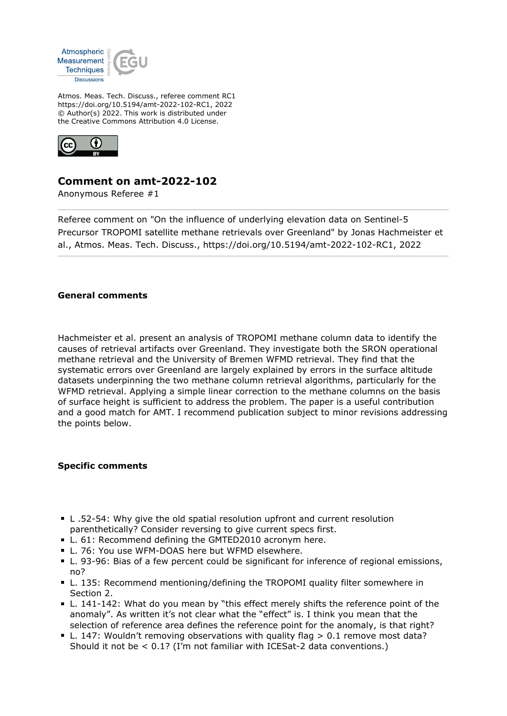

Atmos. Meas. Tech. Discuss., referee comment RC1 https://doi.org/10.5194/amt-2022-102-RC1, 2022 © Author(s) 2022. This work is distributed under the Creative Commons Attribution 4.0 License.



## **Comment on amt-2022-102**

Anonymous Referee #1

Referee comment on "On the influence of underlying elevation data on Sentinel-5 Precursor TROPOMI satellite methane retrievals over Greenland" by Jonas Hachmeister et al., Atmos. Meas. Tech. Discuss., https://doi.org/10.5194/amt-2022-102-RC1, 2022

## **General comments**

Hachmeister et al. present an analysis of TROPOMI methane column data to identify the causes of retrieval artifacts over Greenland. They investigate both the SRON operational methane retrieval and the University of Bremen WFMD retrieval. They find that the systematic errors over Greenland are largely explained by errors in the surface altitude datasets underpinning the two methane column retrieval algorithms, particularly for the WFMD retrieval. Applying a simple linear correction to the methane columns on the basis of surface height is sufficient to address the problem. The paper is a useful contribution and a good match for AMT. I recommend publication subject to minor revisions addressing the points below.

## **Specific comments**

- L .52-54: Why give the old spatial resolution upfront and current resolution parenthetically? Consider reversing to give current specs first.
- L. 61: Recommend defining the GMTED2010 acronym here.
- L. 76: You use WFM-DOAS here but WFMD elsewhere.
- L. 93-96: Bias of a few percent could be significant for inference of regional emissions, no?
- L. 135: Recommend mentioning/defining the TROPOMI quality filter somewhere in Section 2.
- L. 141-142: What do you mean by "this effect merely shifts the reference point of the anomaly". As written it's not clear what the "effect" is. I think you mean that the selection of reference area defines the reference point for the anomaly, is that right?
- L. 147: Wouldn't removing observations with quality flag > 0.1 remove most data? Should it not be < 0.1? (I'm not familiar with ICESat-2 data conventions.)